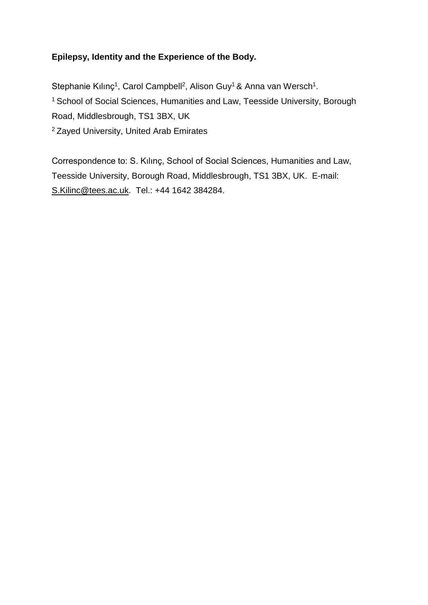# **Epilepsy, Identity and the Experience of the Body.**

Stephanie Kılınç<sup>1</sup>, Carol Campbell<sup>2</sup>, Alison Guy<sup>1</sup> & Anna van Wersch<sup>1</sup>. <sup>1</sup> School of Social Sciences, Humanities and Law, Teesside University, Borough Road, Middlesbrough, TS1 3BX, UK 2 Zayed University, United Arab Emirates

Correspondence to: S. Kılınç, School of Social Sciences, Humanities and Law, Teesside University, Borough Road, Middlesbrough, TS1 3BX, UK. E-mail: [S.Kilinc@tees.ac.uk.](mailto:S.Kilinc@tees.ac.uk) Tel.: +44 1642 384284.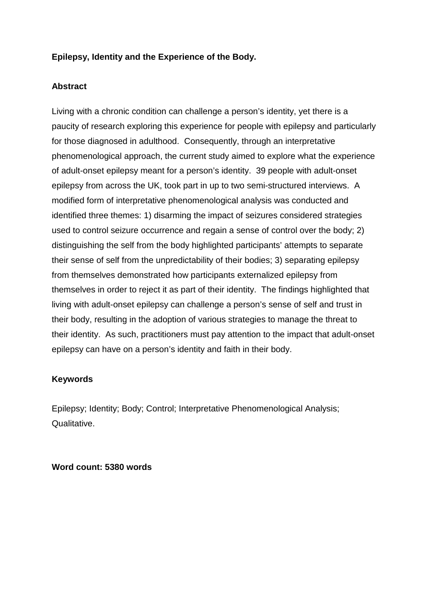# **Epilepsy, Identity and the Experience of the Body.**

## **Abstract**

Living with a chronic condition can challenge a person's identity, yet there is a paucity of research exploring this experience for people with epilepsy and particularly for those diagnosed in adulthood. Consequently, through an interpretative phenomenological approach, the current study aimed to explore what the experience of adult-onset epilepsy meant for a person's identity. 39 people with adult-onset epilepsy from across the UK, took part in up to two semi-structured interviews. A modified form of interpretative phenomenological analysis was conducted and identified three themes: 1) disarming the impact of seizures considered strategies used to control seizure occurrence and regain a sense of control over the body; 2) distinguishing the self from the body highlighted participants' attempts to separate their sense of self from the unpredictability of their bodies; 3) separating epilepsy from themselves demonstrated how participants externalized epilepsy from themselves in order to reject it as part of their identity. The findings highlighted that living with adult-onset epilepsy can challenge a person's sense of self and trust in their body, resulting in the adoption of various strategies to manage the threat to their identity. As such, practitioners must pay attention to the impact that adult-onset epilepsy can have on a person's identity and faith in their body.

# **Keywords**

Epilepsy; Identity; Body; Control; Interpretative Phenomenological Analysis; Qualitative.

**Word count: 5380 words**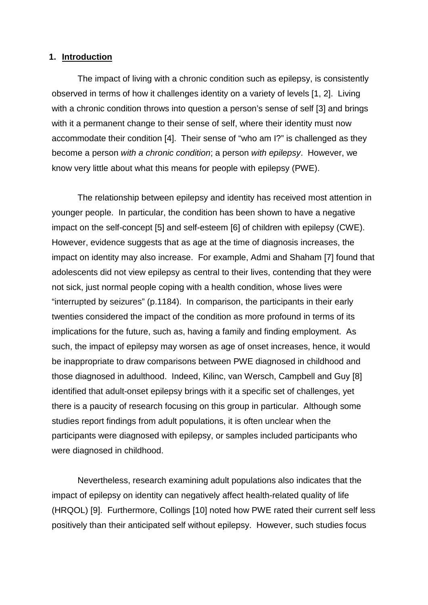#### **1. Introduction**

The impact of living with a chronic condition such as epilepsy, is consistently observed in terms of how it challenges identity on a variety of levels [1, 2]. Living with a chronic condition throws into question a person's sense of self [3] and brings with it a permanent change to their sense of self, where their identity must now accommodate their condition [4]. Their sense of "who am I?" is challenged as they become a person *with a chronic condition*; a person *with epilepsy*. However, we know very little about what this means for people with epilepsy (PWE).

The relationship between epilepsy and identity has received most attention in younger people. In particular, the condition has been shown to have a negative impact on the self-concept [5] and self-esteem [6] of children with epilepsy (CWE). However, evidence suggests that as age at the time of diagnosis increases, the impact on identity may also increase. For example, Admi and Shaham [7] found that adolescents did not view epilepsy as central to their lives, contending that they were not sick, just normal people coping with a health condition, whose lives were "interrupted by seizures" (p.1184). In comparison, the participants in their early twenties considered the impact of the condition as more profound in terms of its implications for the future, such as, having a family and finding employment. As such, the impact of epilepsy may worsen as age of onset increases, hence, it would be inappropriate to draw comparisons between PWE diagnosed in childhood and those diagnosed in adulthood. Indeed, Kilinc, van Wersch, Campbell and Guy [8] identified that adult-onset epilepsy brings with it a specific set of challenges, yet there is a paucity of research focusing on this group in particular. Although some studies report findings from adult populations, it is often unclear when the participants were diagnosed with epilepsy, or samples included participants who were diagnosed in childhood.

Nevertheless, research examining adult populations also indicates that the impact of epilepsy on identity can negatively affect health-related quality of life (HRQOL) [9]. Furthermore, Collings [10] noted how PWE rated their current self less positively than their anticipated self without epilepsy. However, such studies focus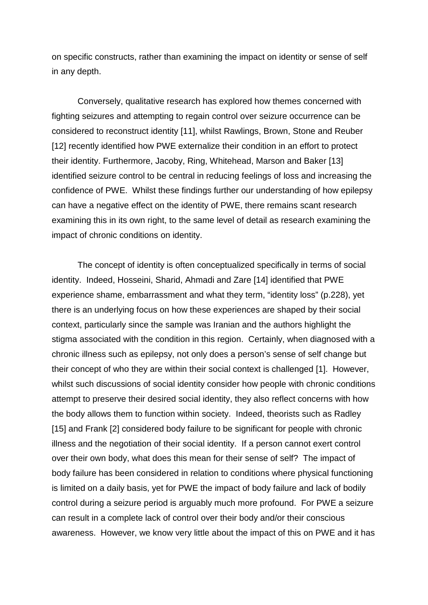on specific constructs, rather than examining the impact on identity or sense of self in any depth.

Conversely, qualitative research has explored how themes concerned with fighting seizures and attempting to regain control over seizure occurrence can be considered to reconstruct identity [11], whilst Rawlings, Brown, Stone and Reuber [12] recently identified how PWE externalize their condition in an effort to protect their identity. Furthermore, Jacoby, Ring, Whitehead, Marson and Baker [13] identified seizure control to be central in reducing feelings of loss and increasing the confidence of PWE. Whilst these findings further our understanding of how epilepsy can have a negative effect on the identity of PWE, there remains scant research examining this in its own right, to the same level of detail as research examining the impact of chronic conditions on identity.

The concept of identity is often conceptualized specifically in terms of social identity. Indeed, Hosseini, Sharid, Ahmadi and Zare [14] identified that PWE experience shame, embarrassment and what they term, "identity loss" (p.228), yet there is an underlying focus on how these experiences are shaped by their social context, particularly since the sample was Iranian and the authors highlight the stigma associated with the condition in this region. Certainly, when diagnosed with a chronic illness such as epilepsy, not only does a person's sense of self change but their concept of who they are within their social context is challenged [1]. However, whilst such discussions of social identity consider how people with chronic conditions attempt to preserve their desired social identity, they also reflect concerns with how the body allows them to function within society. Indeed, theorists such as Radley [15] and Frank [2] considered body failure to be significant for people with chronic illness and the negotiation of their social identity. If a person cannot exert control over their own body, what does this mean for their sense of self? The impact of body failure has been considered in relation to conditions where physical functioning is limited on a daily basis, yet for PWE the impact of body failure and lack of bodily control during a seizure period is arguably much more profound. For PWE a seizure can result in a complete lack of control over their body and/or their conscious awareness. However, we know very little about the impact of this on PWE and it has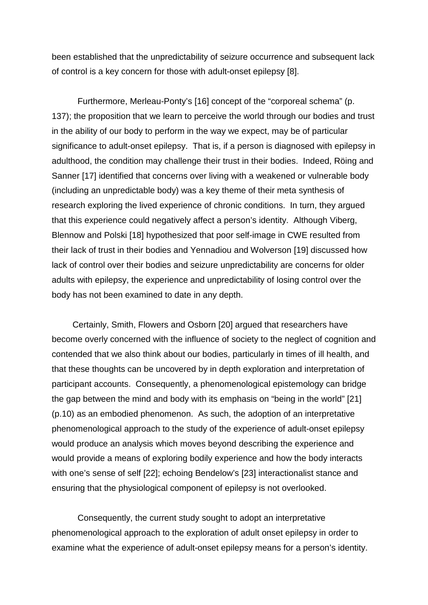been established that the unpredictability of seizure occurrence and subsequent lack of control is a key concern for those with adult-onset epilepsy [8].

Furthermore, Merleau-Ponty's [16] concept of the "corporeal schema" (p. 137); the proposition that we learn to perceive the world through our bodies and trust in the ability of our body to perform in the way we expect, may be of particular significance to adult-onset epilepsy. That is, if a person is diagnosed with epilepsy in adulthood, the condition may challenge their trust in their bodies. Indeed, Röing and Sanner [17] identified that concerns over living with a weakened or vulnerable body (including an unpredictable body) was a key theme of their meta synthesis of research exploring the lived experience of chronic conditions. In turn, they argued that this experience could negatively affect a person's identity. Although Viberg, Blennow and Polski [18] hypothesized that poor self-image in CWE resulted from their lack of trust in their bodies and Yennadiou and Wolverson [19] discussed how lack of control over their bodies and seizure unpredictability are concerns for older adults with epilepsy, the experience and unpredictability of losing control over the body has not been examined to date in any depth.

Certainly, Smith, Flowers and Osborn [20] argued that researchers have become overly concerned with the influence of society to the neglect of cognition and contended that we also think about our bodies, particularly in times of ill health, and that these thoughts can be uncovered by in depth exploration and interpretation of participant accounts. Consequently, a phenomenological epistemology can bridge the gap between the mind and body with its emphasis on "being in the world" [21] (p.10) as an embodied phenomenon. As such, the adoption of an interpretative phenomenological approach to the study of the experience of adult-onset epilepsy would produce an analysis which moves beyond describing the experience and would provide a means of exploring bodily experience and how the body interacts with one's sense of self [22]; echoing Bendelow's [23] interactionalist stance and ensuring that the physiological component of epilepsy is not overlooked.

Consequently, the current study sought to adopt an interpretative phenomenological approach to the exploration of adult onset epilepsy in order to examine what the experience of adult-onset epilepsy means for a person's identity.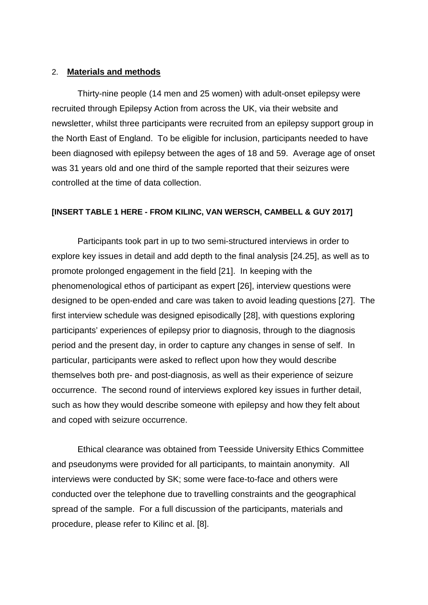#### 2. **Materials and methods**

Thirty-nine people (14 men and 25 women) with adult-onset epilepsy were recruited through Epilepsy Action from across the UK, via their website and newsletter, whilst three participants were recruited from an epilepsy support group in the North East of England. To be eligible for inclusion, participants needed to have been diagnosed with epilepsy between the ages of 18 and 59. Average age of onset was 31 years old and one third of the sample reported that their seizures were controlled at the time of data collection.

#### **[INSERT TABLE 1 HERE - FROM KILINC, VAN WERSCH, CAMBELL & GUY 2017]**

Participants took part in up to two semi-structured interviews in order to explore key issues in detail and add depth to the final analysis [24.25], as well as to promote prolonged engagement in the field [21]. In keeping with the phenomenological ethos of participant as expert [26], interview questions were designed to be open-ended and care was taken to avoid leading questions [27]. The first interview schedule was designed episodically [28], with questions exploring participants' experiences of epilepsy prior to diagnosis, through to the diagnosis period and the present day, in order to capture any changes in sense of self. In particular, participants were asked to reflect upon how they would describe themselves both pre- and post-diagnosis, as well as their experience of seizure occurrence. The second round of interviews explored key issues in further detail, such as how they would describe someone with epilepsy and how they felt about and coped with seizure occurrence.

Ethical clearance was obtained from Teesside University Ethics Committee and pseudonyms were provided for all participants, to maintain anonymity. All interviews were conducted by SK; some were face-to-face and others were conducted over the telephone due to travelling constraints and the geographical spread of the sample. For a full discussion of the participants, materials and procedure, please refer to Kilinc et al. [8].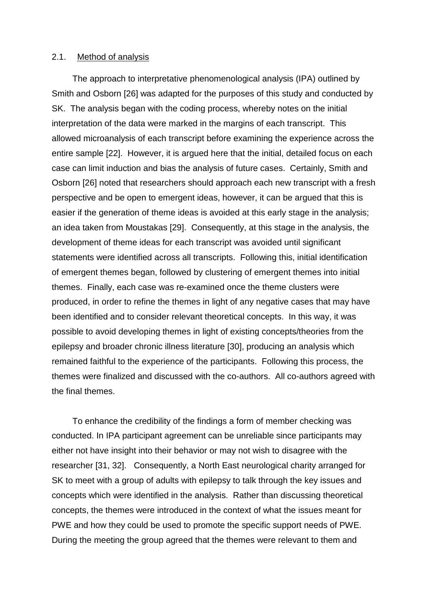#### 2.1. Method of analysis

The approach to interpretative phenomenological analysis (IPA) outlined by Smith and Osborn [26] was adapted for the purposes of this study and conducted by SK. The analysis began with the coding process, whereby notes on the initial interpretation of the data were marked in the margins of each transcript. This allowed microanalysis of each transcript before examining the experience across the entire sample [22]. However, it is argued here that the initial, detailed focus on each case can limit induction and bias the analysis of future cases. Certainly, Smith and Osborn [26] noted that researchers should approach each new transcript with a fresh perspective and be open to emergent ideas, however, it can be argued that this is easier if the generation of theme ideas is avoided at this early stage in the analysis; an idea taken from Moustakas [29]. Consequently, at this stage in the analysis, the development of theme ideas for each transcript was avoided until significant statements were identified across all transcripts. Following this, initial identification of emergent themes began, followed by clustering of emergent themes into initial themes. Finally, each case was re-examined once the theme clusters were produced, in order to refine the themes in light of any negative cases that may have been identified and to consider relevant theoretical concepts. In this way, it was possible to avoid developing themes in light of existing concepts/theories from the epilepsy and broader chronic illness literature [30], producing an analysis which remained faithful to the experience of the participants. Following this process, the themes were finalized and discussed with the co-authors. All co-authors agreed with the final themes.

To enhance the credibility of the findings a form of member checking was conducted. In IPA participant agreement can be unreliable since participants may either not have insight into their behavior or may not wish to disagree with the researcher [31, 32]. Consequently, a North East neurological charity arranged for SK to meet with a group of adults with epilepsy to talk through the key issues and concepts which were identified in the analysis. Rather than discussing theoretical concepts, the themes were introduced in the context of what the issues meant for PWE and how they could be used to promote the specific support needs of PWE. During the meeting the group agreed that the themes were relevant to them and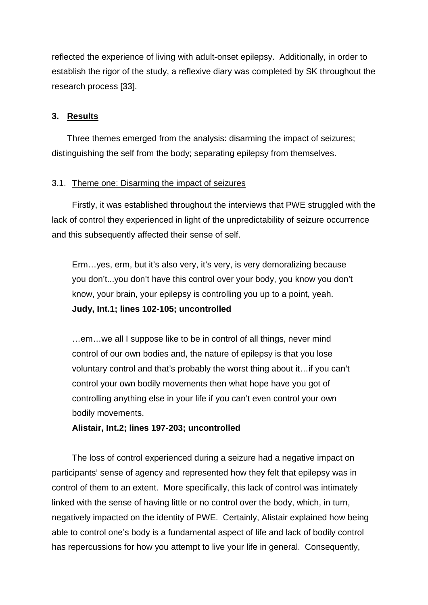reflected the experience of living with adult-onset epilepsy. Additionally, in order to establish the rigor of the study, a reflexive diary was completed by SK throughout the research process [33].

### **3. Results**

Three themes emerged from the analysis: disarming the impact of seizures; distinguishing the self from the body; separating epilepsy from themselves.

### 3.1. Theme one: Disarming the impact of seizures

Firstly, it was established throughout the interviews that PWE struggled with the lack of control they experienced in light of the unpredictability of seizure occurrence and this subsequently affected their sense of self.

Erm…yes, erm, but it's also very, it's very, is very demoralizing because you don't...you don't have this control over your body, you know you don't know, your brain, your epilepsy is controlling you up to a point, yeah. **Judy, Int.1; lines 102-105; uncontrolled**

…em…we all I suppose like to be in control of all things, never mind control of our own bodies and, the nature of epilepsy is that you lose voluntary control and that's probably the worst thing about it…if you can't control your own bodily movements then what hope have you got of controlling anything else in your life if you can't even control your own bodily movements.

**Alistair, Int.2; lines 197-203; uncontrolled**

The loss of control experienced during a seizure had a negative impact on participants' sense of agency and represented how they felt that epilepsy was in control of them to an extent. More specifically, this lack of control was intimately linked with the sense of having little or no control over the body, which, in turn, negatively impacted on the identity of PWE. Certainly, Alistair explained how being able to control one's body is a fundamental aspect of life and lack of bodily control has repercussions for how you attempt to live your life in general. Consequently,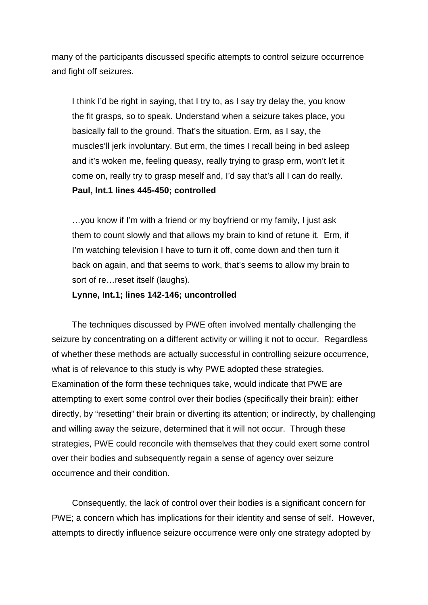many of the participants discussed specific attempts to control seizure occurrence and fight off seizures.

I think I'd be right in saying, that I try to, as I say try delay the, you know the fit grasps, so to speak. Understand when a seizure takes place, you basically fall to the ground. That's the situation. Erm, as I say, the muscles'll jerk involuntary. But erm, the times I recall being in bed asleep and it's woken me, feeling queasy, really trying to grasp erm, won't let it come on, really try to grasp meself and, I'd say that's all I can do really. **Paul, Int.1 lines 445-450; controlled**

…you know if I'm with a friend or my boyfriend or my family, I just ask them to count slowly and that allows my brain to kind of retune it. Erm, if I'm watching television I have to turn it off, come down and then turn it back on again, and that seems to work, that's seems to allow my brain to sort of re…reset itself (laughs).

#### **Lynne, Int.1; lines 142-146; uncontrolled**

The techniques discussed by PWE often involved mentally challenging the seizure by concentrating on a different activity or willing it not to occur. Regardless of whether these methods are actually successful in controlling seizure occurrence, what is of relevance to this study is why PWE adopted these strategies. Examination of the form these techniques take, would indicate that PWE are attempting to exert some control over their bodies (specifically their brain): either directly, by "resetting" their brain or diverting its attention; or indirectly, by challenging and willing away the seizure, determined that it will not occur. Through these strategies, PWE could reconcile with themselves that they could exert some control over their bodies and subsequently regain a sense of agency over seizure occurrence and their condition.

Consequently, the lack of control over their bodies is a significant concern for PWE; a concern which has implications for their identity and sense of self. However, attempts to directly influence seizure occurrence were only one strategy adopted by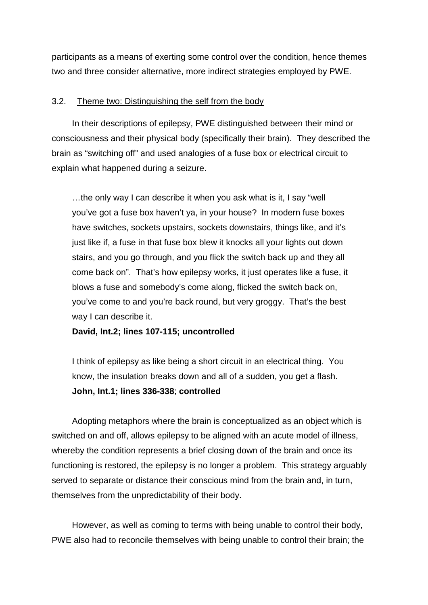participants as a means of exerting some control over the condition, hence themes two and three consider alternative, more indirect strategies employed by PWE.

### 3.2. Theme two: Distinguishing the self from the body

In their descriptions of epilepsy, PWE distinguished between their mind or consciousness and their physical body (specifically their brain). They described the brain as "switching off" and used analogies of a fuse box or electrical circuit to explain what happened during a seizure.

…the only way I can describe it when you ask what is it, I say "well you've got a fuse box haven't ya, in your house? In modern fuse boxes have switches, sockets upstairs, sockets downstairs, things like, and it's just like if, a fuse in that fuse box blew it knocks all your lights out down stairs, and you go through, and you flick the switch back up and they all come back on". That's how epilepsy works, it just operates like a fuse, it blows a fuse and somebody's come along, flicked the switch back on, you've come to and you're back round, but very groggy. That's the best way I can describe it.

**David, Int.2; lines 107-115; uncontrolled**

I think of epilepsy as like being a short circuit in an electrical thing. You know, the insulation breaks down and all of a sudden, you get a flash. **John, Int.1; lines 336-338**; **controlled**

Adopting metaphors where the brain is conceptualized as an object which is switched on and off, allows epilepsy to be aligned with an acute model of illness, whereby the condition represents a brief closing down of the brain and once its functioning is restored, the epilepsy is no longer a problem. This strategy arguably served to separate or distance their conscious mind from the brain and, in turn, themselves from the unpredictability of their body.

However, as well as coming to terms with being unable to control their body, PWE also had to reconcile themselves with being unable to control their brain; the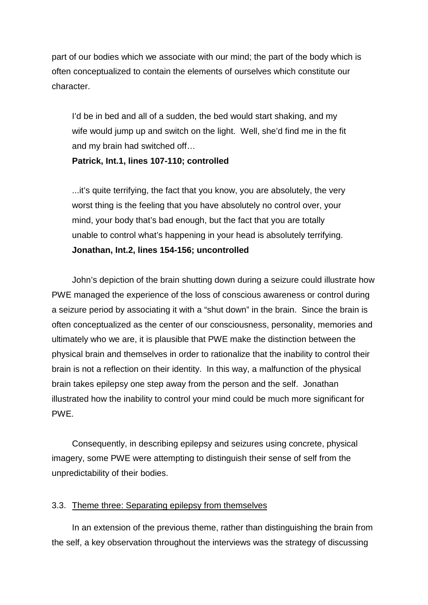part of our bodies which we associate with our mind; the part of the body which is often conceptualized to contain the elements of ourselves which constitute our character.

I'd be in bed and all of a sudden, the bed would start shaking, and my wife would jump up and switch on the light. Well, she'd find me in the fit and my brain had switched off…

### **Patrick, Int.1, lines 107-110; controlled**

...it's quite terrifying, the fact that you know, you are absolutely, the very worst thing is the feeling that you have absolutely no control over, your mind, your body that's bad enough, but the fact that you are totally unable to control what's happening in your head is absolutely terrifying. **Jonathan, Int.2, lines 154-156; uncontrolled**

John's depiction of the brain shutting down during a seizure could illustrate how PWE managed the experience of the loss of conscious awareness or control during a seizure period by associating it with a "shut down" in the brain. Since the brain is often conceptualized as the center of our consciousness, personality, memories and ultimately who we are, it is plausible that PWE make the distinction between the physical brain and themselves in order to rationalize that the inability to control their brain is not a reflection on their identity. In this way, a malfunction of the physical brain takes epilepsy one step away from the person and the self. Jonathan illustrated how the inability to control your mind could be much more significant for PWE.

Consequently, in describing epilepsy and seizures using concrete, physical imagery, some PWE were attempting to distinguish their sense of self from the unpredictability of their bodies.

### 3.3. Theme three: Separating epilepsy from themselves

In an extension of the previous theme, rather than distinguishing the brain from the self, a key observation throughout the interviews was the strategy of discussing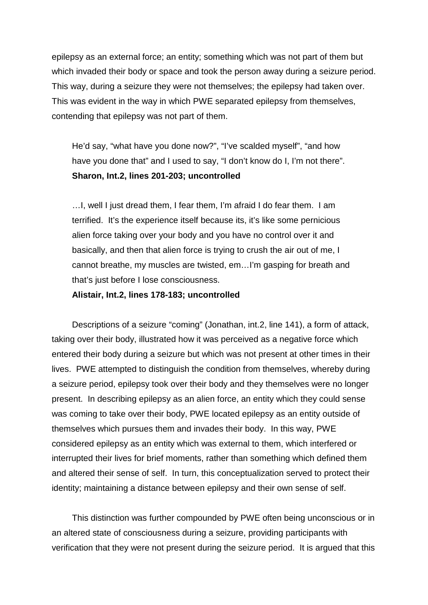epilepsy as an external force; an entity; something which was not part of them but which invaded their body or space and took the person away during a seizure period. This way, during a seizure they were not themselves; the epilepsy had taken over. This was evident in the way in which PWE separated epilepsy from themselves, contending that epilepsy was not part of them.

He'd say, "what have you done now?", "I've scalded myself", "and how have you done that" and I used to say, "I don't know do I, I'm not there". **Sharon, Int.2, lines 201-203; uncontrolled**

…I, well I just dread them, I fear them, I'm afraid I do fear them. I am terrified. It's the experience itself because its, it's like some pernicious alien force taking over your body and you have no control over it and basically, and then that alien force is trying to crush the air out of me, I cannot breathe, my muscles are twisted, em…I'm gasping for breath and that's just before I lose consciousness.

#### **Alistair, Int.2, lines 178-183; uncontrolled**

Descriptions of a seizure "coming" (Jonathan, int.2, line 141), a form of attack, taking over their body, illustrated how it was perceived as a negative force which entered their body during a seizure but which was not present at other times in their lives. PWE attempted to distinguish the condition from themselves, whereby during a seizure period, epilepsy took over their body and they themselves were no longer present. In describing epilepsy as an alien force, an entity which they could sense was coming to take over their body, PWE located epilepsy as an entity outside of themselves which pursues them and invades their body. In this way, PWE considered epilepsy as an entity which was external to them, which interfered or interrupted their lives for brief moments, rather than something which defined them and altered their sense of self. In turn, this conceptualization served to protect their identity; maintaining a distance between epilepsy and their own sense of self.

This distinction was further compounded by PWE often being unconscious or in an altered state of consciousness during a seizure, providing participants with verification that they were not present during the seizure period. It is argued that this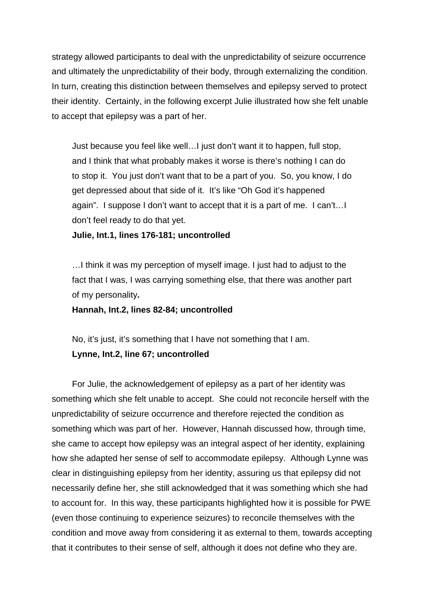strategy allowed participants to deal with the unpredictability of seizure occurrence and ultimately the unpredictability of their body, through externalizing the condition. In turn, creating this distinction between themselves and epilepsy served to protect their identity. Certainly, in the following excerpt Julie illustrated how she felt unable to accept that epilepsy was a part of her.

Just because you feel like well…I just don't want it to happen, full stop, and I think that what probably makes it worse is there's nothing I can do to stop it. You just don't want that to be a part of you. So, you know, I do get depressed about that side of it. It's like "Oh God it's happened again". I suppose I don't want to accept that it is a part of me. I can't…I don't feel ready to do that yet.

**Julie, Int.1, lines 176-181; uncontrolled**

…I think it was my perception of myself image. I just had to adjust to the fact that I was, I was carrying something else, that there was another part of my personality**.**

#### **Hannah, Int.2, lines 82-84; uncontrolled**

No, it's just, it's something that I have not something that I am.

### **Lynne, Int.2, line 67; uncontrolled**

For Julie, the acknowledgement of epilepsy as a part of her identity was something which she felt unable to accept. She could not reconcile herself with the unpredictability of seizure occurrence and therefore rejected the condition as something which was part of her. However, Hannah discussed how, through time, she came to accept how epilepsy was an integral aspect of her identity, explaining how she adapted her sense of self to accommodate epilepsy. Although Lynne was clear in distinguishing epilepsy from her identity, assuring us that epilepsy did not necessarily define her, she still acknowledged that it was something which she had to account for. In this way, these participants highlighted how it is possible for PWE (even those continuing to experience seizures) to reconcile themselves with the condition and move away from considering it as external to them, towards accepting that it contributes to their sense of self, although it does not define who they are.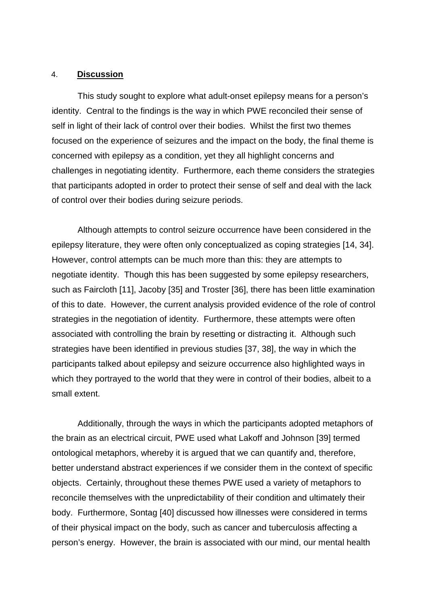#### 4. **Discussion**

This study sought to explore what adult-onset epilepsy means for a person's identity. Central to the findings is the way in which PWE reconciled their sense of self in light of their lack of control over their bodies. Whilst the first two themes focused on the experience of seizures and the impact on the body, the final theme is concerned with epilepsy as a condition, yet they all highlight concerns and challenges in negotiating identity. Furthermore, each theme considers the strategies that participants adopted in order to protect their sense of self and deal with the lack of control over their bodies during seizure periods.

Although attempts to control seizure occurrence have been considered in the epilepsy literature, they were often only conceptualized as coping strategies [14, 34]. However, control attempts can be much more than this: they are attempts to negotiate identity. Though this has been suggested by some epilepsy researchers, such as Faircloth [11], Jacoby [35] and Troster [36], there has been little examination of this to date. However, the current analysis provided evidence of the role of control strategies in the negotiation of identity. Furthermore, these attempts were often associated with controlling the brain by resetting or distracting it. Although such strategies have been identified in previous studies [37, 38], the way in which the participants talked about epilepsy and seizure occurrence also highlighted ways in which they portrayed to the world that they were in control of their bodies, albeit to a small extent.

Additionally, through the ways in which the participants adopted metaphors of the brain as an electrical circuit, PWE used what Lakoff and Johnson [39] termed ontological metaphors, whereby it is argued that we can quantify and, therefore, better understand abstract experiences if we consider them in the context of specific objects. Certainly, throughout these themes PWE used a variety of metaphors to reconcile themselves with the unpredictability of their condition and ultimately their body. Furthermore, Sontag [40] discussed how illnesses were considered in terms of their physical impact on the body, such as cancer and tuberculosis affecting a person's energy. However, the brain is associated with our mind, our mental health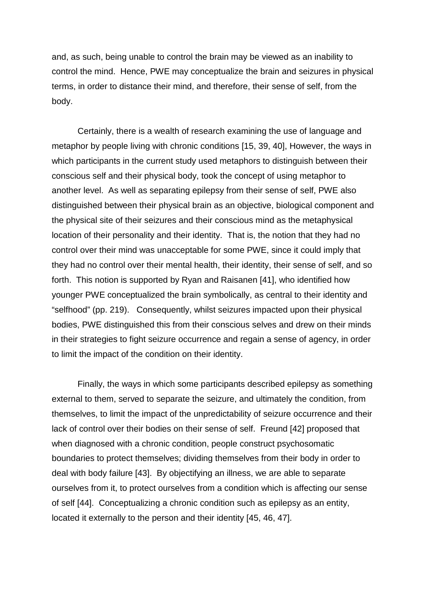and, as such, being unable to control the brain may be viewed as an inability to control the mind. Hence, PWE may conceptualize the brain and seizures in physical terms, in order to distance their mind, and therefore, their sense of self, from the body.

Certainly, there is a wealth of research examining the use of language and metaphor by people living with chronic conditions [15, 39, 40], However, the ways in which participants in the current study used metaphors to distinguish between their conscious self and their physical body, took the concept of using metaphor to another level. As well as separating epilepsy from their sense of self, PWE also distinguished between their physical brain as an objective, biological component and the physical site of their seizures and their conscious mind as the metaphysical location of their personality and their identity. That is, the notion that they had no control over their mind was unacceptable for some PWE, since it could imply that they had no control over their mental health, their identity, their sense of self, and so forth. This notion is supported by Ryan and Raisanen [41], who identified how younger PWE conceptualized the brain symbolically, as central to their identity and "selfhood" (pp. 219). Consequently, whilst seizures impacted upon their physical bodies, PWE distinguished this from their conscious selves and drew on their minds in their strategies to fight seizure occurrence and regain a sense of agency, in order to limit the impact of the condition on their identity.

Finally, the ways in which some participants described epilepsy as something external to them, served to separate the seizure, and ultimately the condition, from themselves, to limit the impact of the unpredictability of seizure occurrence and their lack of control over their bodies on their sense of self. Freund [42] proposed that when diagnosed with a chronic condition, people construct psychosomatic boundaries to protect themselves; dividing themselves from their body in order to deal with body failure [43]. By objectifying an illness, we are able to separate ourselves from it, to protect ourselves from a condition which is affecting our sense of self [44]. Conceptualizing a chronic condition such as epilepsy as an entity, located it externally to the person and their identity [45, 46, 47].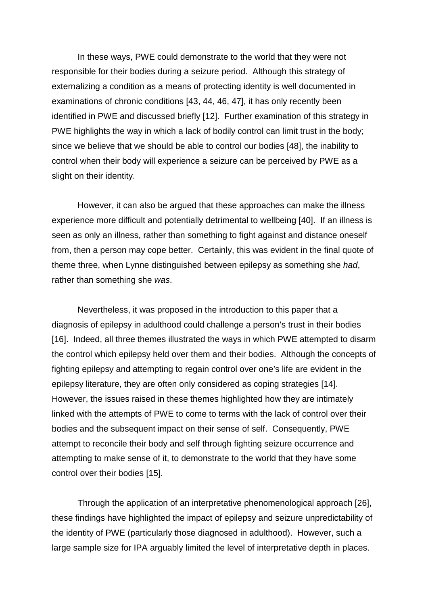In these ways, PWE could demonstrate to the world that they were not responsible for their bodies during a seizure period. Although this strategy of externalizing a condition as a means of protecting identity is well documented in examinations of chronic conditions [43, 44, 46, 47], it has only recently been identified in PWE and discussed briefly [12]. Further examination of this strategy in PWE highlights the way in which a lack of bodily control can limit trust in the body; since we believe that we should be able to control our bodies [48], the inability to control when their body will experience a seizure can be perceived by PWE as a slight on their identity.

However, it can also be argued that these approaches can make the illness experience more difficult and potentially detrimental to wellbeing [40]. If an illness is seen as only an illness, rather than something to fight against and distance oneself from, then a person may cope better. Certainly, this was evident in the final quote of theme three, when Lynne distinguished between epilepsy as something she *had*, rather than something she *was*.

Nevertheless, it was proposed in the introduction to this paper that a diagnosis of epilepsy in adulthood could challenge a person's trust in their bodies [16].Indeed, all three themes illustrated the ways in which PWE attempted to disarm the control which epilepsy held over them and their bodies. Although the concepts of fighting epilepsy and attempting to regain control over one's life are evident in the epilepsy literature, they are often only considered as coping strategies [14]. However, the issues raised in these themes highlighted how they are intimately linked with the attempts of PWE to come to terms with the lack of control over their bodies and the subsequent impact on their sense of self. Consequently, PWE attempt to reconcile their body and self through fighting seizure occurrence and attempting to make sense of it, to demonstrate to the world that they have some control over their bodies [15].

Through the application of an interpretative phenomenological approach [26], these findings have highlighted the impact of epilepsy and seizure unpredictability of the identity of PWE (particularly those diagnosed in adulthood). However, such a large sample size for IPA arguably limited the level of interpretative depth in places.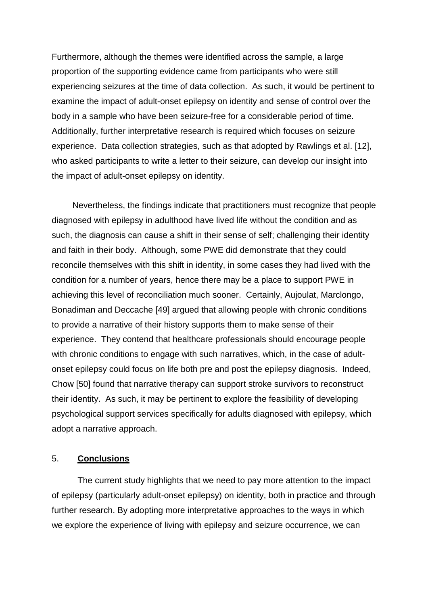Furthermore, although the themes were identified across the sample, a large proportion of the supporting evidence came from participants who were still experiencing seizures at the time of data collection. As such, it would be pertinent to examine the impact of adult-onset epilepsy on identity and sense of control over the body in a sample who have been seizure-free for a considerable period of time. Additionally, further interpretative research is required which focuses on seizure experience. Data collection strategies, such as that adopted by Rawlings et al. [12], who asked participants to write a letter to their seizure, can develop our insight into the impact of adult-onset epilepsy on identity.

Nevertheless, the findings indicate that practitioners must recognize that people diagnosed with epilepsy in adulthood have lived life without the condition and as such, the diagnosis can cause a shift in their sense of self; challenging their identity and faith in their body. Although, some PWE did demonstrate that they could reconcile themselves with this shift in identity, in some cases they had lived with the condition for a number of years, hence there may be a place to support PWE in achieving this level of reconciliation much sooner. Certainly, Aujoulat, Marclongo, Bonadiman and Deccache [49] argued that allowing people with chronic conditions to provide a narrative of their history supports them to make sense of their experience. They contend that healthcare professionals should encourage people with chronic conditions to engage with such narratives, which, in the case of adultonset epilepsy could focus on life both pre and post the epilepsy diagnosis. Indeed, Chow [50] found that narrative therapy can support stroke survivors to reconstruct their identity. As such, it may be pertinent to explore the feasibility of developing psychological support services specifically for adults diagnosed with epilepsy, which adopt a narrative approach.

### 5. **Conclusions**

The current study highlights that we need to pay more attention to the impact of epilepsy (particularly adult-onset epilepsy) on identity, both in practice and through further research. By adopting more interpretative approaches to the ways in which we explore the experience of living with epilepsy and seizure occurrence, we can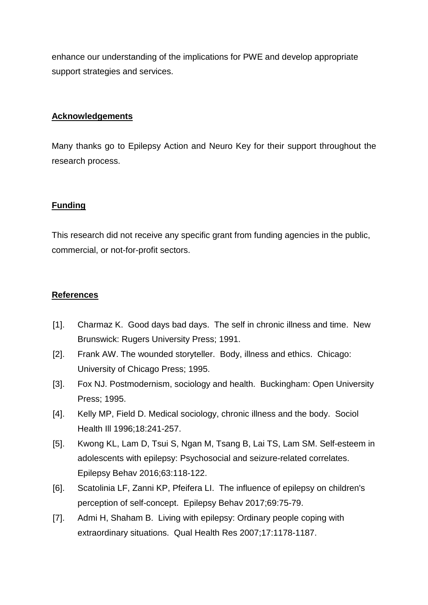enhance our understanding of the implications for PWE and develop appropriate support strategies and services.

## **Acknowledgements**

Many thanks go to Epilepsy Action and Neuro Key for their support throughout the research process.

# **Funding**

This research did not receive any specific grant from funding agencies in the public, commercial, or not-for-profit sectors.

## **References**

- [1]. Charmaz K. Good days bad days. The self in chronic illness and time. New Brunswick: Rugers University Press; 1991.
- [2]. Frank AW. The wounded storyteller. Body, illness and ethics. Chicago: University of Chicago Press; 1995.
- [3]. Fox NJ. Postmodernism, sociology and health. Buckingham: Open University Press; 1995.
- [4]. Kelly MP, Field D. Medical sociology, chronic illness and the body. Sociol Health Ill 1996;18:241-257.
- [5]. Kwong KL, Lam D, Tsui S, Ngan M, Tsang B, Lai TS, Lam SM. Self-esteem in adolescents with epilepsy: Psychosocial and seizure-related correlates. Epilepsy Behav 2016;63:118-122.
- [6]. Scatolinia LF, Zanni KP, Pfeifera LI. The influence of epilepsy on children's perception of self-concept. Epilepsy Behav 2017;69:75-79.
- [7]. Admi H, Shaham B. Living with epilepsy: Ordinary people coping with extraordinary situations. Qual Health Res 2007;17:1178-1187.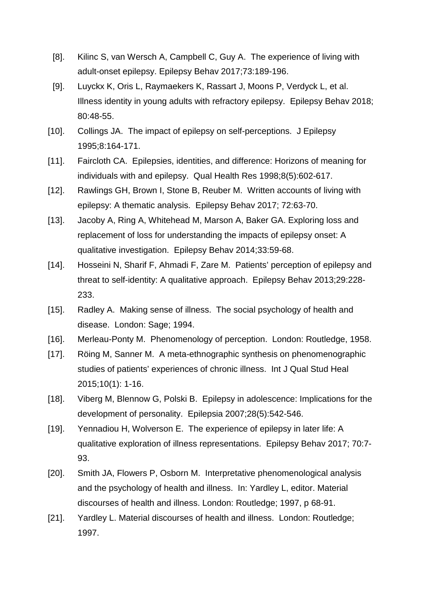- [8]. Kilinc S, van Wersch A, Campbell C, Guy A. The experience of living with adult-onset epilepsy. Epilepsy Behav 2017;73:189-196.
- [9]. Luyckx K, Oris L, Raymaekers K, Rassart J, Moons P, Verdyck L, et al. Illness identity in young adults with refractory epilepsy. Epilepsy Behav 2018; 80:48-55.
- [10]. Collings JA. The impact of epilepsy on self-perceptions. J Epilepsy 1995;8:164-171.
- [11]. Faircloth CA. Epilepsies, identities, and difference: Horizons of meaning for individuals with and epilepsy. Qual Health Res 1998;8(5):602-617.
- [12]. Rawlings GH, Brown I, Stone B, Reuber M. Written accounts of living with epilepsy: A thematic analysis. Epilepsy Behav 2017; 72:63-70.
- [13]. Jacoby A, Ring A, Whitehead M, Marson A, Baker GA. Exploring loss and replacement of loss for understanding the impacts of epilepsy onset: A qualitative investigation. Epilepsy Behav 2014;33:59-68.
- [14]. Hosseini N, Sharif F, Ahmadi F, Zare M. Patients' perception of epilepsy and threat to self-identity: A qualitative approach. Epilepsy Behav 2013;29:228- 233.
- [15]. Radley A. Making sense of illness. The social psychology of health and disease. London: Sage; 1994.
- [16]. Merleau-Ponty M. Phenomenology of perception. London: Routledge, 1958.
- [17]. Röing M, Sanner M. A meta-ethnographic synthesis on phenomenographic studies of patients' experiences of chronic illness. Int J Qual Stud Heal 2015;10(1): 1-16.
- [18]. Viberg M, Blennow G, Polski B. Epilepsy in adolescence: Implications for the development of personality. Epilepsia 2007;28(5):542-546.
- [19]. Yennadiou H, Wolverson E. The experience of epilepsy in later life: A qualitative exploration of illness representations. Epilepsy Behav 2017; 70:7- 93.
- [20]. Smith JA, Flowers P, Osborn M. Interpretative phenomenological analysis and the psychology of health and illness. In: Yardley L, editor. Material discourses of health and illness. London: Routledge; 1997, p 68-91.
- [21]. Yardley L. Material discourses of health and illness. London: Routledge; 1997.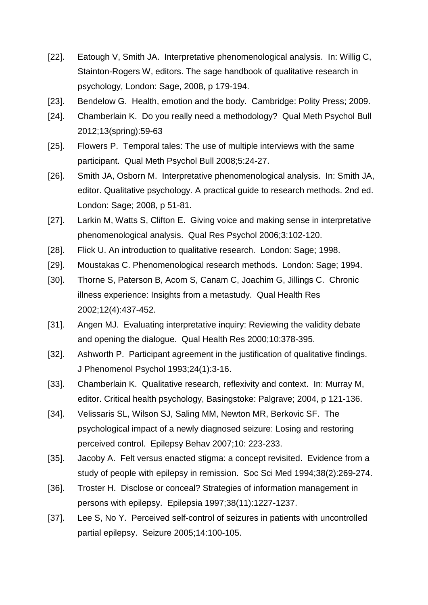- [22]. Eatough V, Smith JA. Interpretative phenomenological analysis. In: Willig C, Stainton-Rogers W, editors. The sage handbook of qualitative research in psychology, London: Sage, 2008, p 179-194.
- [23]. Bendelow G. Health, emotion and the body. Cambridge: Polity Press; 2009.
- [24]. Chamberlain K. Do you really need a methodology? Qual Meth Psychol Bull 2012;13(spring):59-63
- [25]. Flowers P. Temporal tales: The use of multiple interviews with the same participant. Qual Meth Psychol Bull 2008;5:24-27.
- [26]. Smith JA, Osborn M. Interpretative phenomenological analysis. In: Smith JA, editor. Qualitative psychology. A practical guide to research methods. 2nd ed. London: Sage; 2008, p 51-81.
- [27]. Larkin M, Watts S, Clifton E. Giving voice and making sense in interpretative phenomenological analysis. Qual Res Psychol 2006;3:102-120.
- [28]. Flick U. An introduction to qualitative research. London: Sage; 1998.
- [29]. Moustakas C. Phenomenological research methods. London: Sage; 1994.
- [30]. Thorne S, Paterson B, Acom S, Canam C, Joachim G, Jillings C. Chronic illness experience: Insights from a metastudy. Qual Health Res 2002;12(4):437-452.
- [31]. Angen MJ. Evaluating interpretative inquiry: Reviewing the validity debate and opening the dialogue. Qual Health Res 2000;10:378-395.
- [32]. Ashworth P. Participant agreement in the justification of qualitative findings. J Phenomenol Psychol 1993;24(1):3-16.
- [33]. Chamberlain K. Qualitative research, reflexivity and context. In: Murray M, editor. Critical health psychology, Basingstoke: Palgrave; 2004, p 121-136.
- [34]. Velissaris SL, Wilson SJ, Saling MM, Newton MR, Berkovic SF. The psychological impact of a newly diagnosed seizure: Losing and restoring perceived control. Epilepsy Behav 2007;10: 223-233.
- [35]. Jacoby A. Felt versus enacted stigma: a concept revisited. Evidence from a study of people with epilepsy in remission. Soc Sci Med 1994;38(2):269-274.
- [36]. Troster H. Disclose or conceal? Strategies of information management in persons with epilepsy. Epilepsia 1997;38(11):1227-1237.
- [37]. Lee S, No Y. Perceived self-control of seizures in patients with uncontrolled partial epilepsy. Seizure 2005;14:100-105.